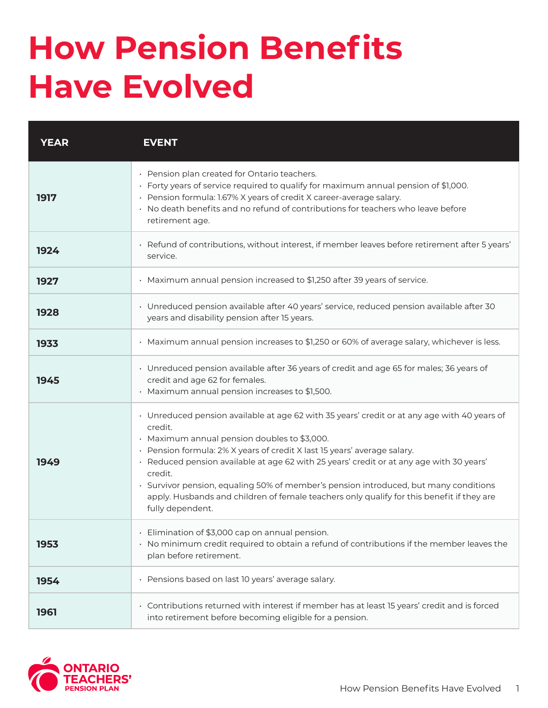## **How Pension Benefits Have Evolved**

| YEAR | EVENT                                                                                                                                                                                                                                                                                                                                                                                                                                                                                                                                               |
|------|-----------------------------------------------------------------------------------------------------------------------------------------------------------------------------------------------------------------------------------------------------------------------------------------------------------------------------------------------------------------------------------------------------------------------------------------------------------------------------------------------------------------------------------------------------|
| 1917 | · Pension plan created for Ontario teachers.<br>· Forty years of service required to qualify for maximum annual pension of \$1,000.<br>· Pension formula: 1.67% X years of credit X career-average salary.<br>· No death benefits and no refund of contributions for teachers who leave before<br>retirement age.                                                                                                                                                                                                                                   |
| 1924 | · Refund of contributions, without interest, if member leaves before retirement after 5 years'<br>service.                                                                                                                                                                                                                                                                                                                                                                                                                                          |
| 1927 | · Maximum annual pension increased to \$1,250 after 39 years of service.                                                                                                                                                                                                                                                                                                                                                                                                                                                                            |
| 1928 | · Unreduced pension available after 40 years' service, reduced pension available after 30<br>years and disability pension after 15 years.                                                                                                                                                                                                                                                                                                                                                                                                           |
| 1933 | · Maximum annual pension increases to \$1,250 or 60% of average salary, whichever is less.                                                                                                                                                                                                                                                                                                                                                                                                                                                          |
| 1945 | • Unreduced pension available after 36 years of credit and age 65 for males; 36 years of<br>credit and age 62 for females.<br>· Maximum annual pension increases to \$1,500.                                                                                                                                                                                                                                                                                                                                                                        |
| 1949 | · Unreduced pension available at age 62 with 35 years' credit or at any age with 40 years of<br>credit.<br>· Maximum annual pension doubles to \$3,000.<br>· Pension formula: 2% X years of credit X last 15 years' average salary.<br>· Reduced pension available at age 62 with 25 years' credit or at any age with 30 years'<br>credit.<br>· Survivor pension, equaling 50% of member's pension introduced, but many conditions<br>apply. Husbands and children of female teachers only qualify for this benefit if they are<br>fully dependent. |
| 1953 | · Elimination of \$3,000 cap on annual pension.<br>· No minimum credit required to obtain a refund of contributions if the member leaves the<br>plan before retirement.                                                                                                                                                                                                                                                                                                                                                                             |
| 1954 | · Pensions based on last 10 years' average salary.                                                                                                                                                                                                                                                                                                                                                                                                                                                                                                  |
| 1961 | · Contributions returned with interest if member has at least 15 years' credit and is forced<br>into retirement before becoming eligible for a pension.                                                                                                                                                                                                                                                                                                                                                                                             |

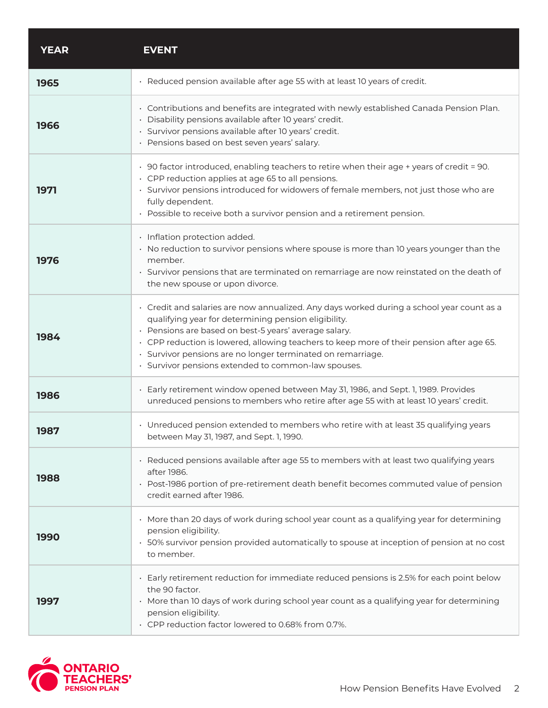| <b>YEAR</b> | <b>EVENT</b>                                                                                                                                                                                                                                                                                                                                                                                                                  |
|-------------|-------------------------------------------------------------------------------------------------------------------------------------------------------------------------------------------------------------------------------------------------------------------------------------------------------------------------------------------------------------------------------------------------------------------------------|
| 1965        | · Reduced pension available after age 55 with at least 10 years of credit.                                                                                                                                                                                                                                                                                                                                                    |
| 1966        | · Contributions and benefits are integrated with newly established Canada Pension Plan.<br>· Disability pensions available after 10 years' credit.<br>· Survivor pensions available after 10 years' credit.<br>· Pensions based on best seven years' salary.                                                                                                                                                                  |
| 1971        | · 90 factor introduced, enabling teachers to retire when their age + years of credit = 90.<br>• CPP reduction applies at age 65 to all pensions.<br>· Survivor pensions introduced for widowers of female members, not just those who are<br>fully dependent.<br>· Possible to receive both a survivor pension and a retirement pension.                                                                                      |
| 1976        | · Inflation protection added.<br>· No reduction to survivor pensions where spouse is more than 10 years younger than the<br>member.<br>· Survivor pensions that are terminated on remarriage are now reinstated on the death of<br>the new spouse or upon divorce.                                                                                                                                                            |
| 1984        | · Credit and salaries are now annualized. Any days worked during a school year count as a<br>qualifying year for determining pension eligibility.<br>· Pensions are based on best-5 years' average salary.<br>· CPP reduction is lowered, allowing teachers to keep more of their pension after age 65.<br>· Survivor pensions are no longer terminated on remarriage.<br>· Survivor pensions extended to common-law spouses. |
| 1986        | · Early retirement window opened between May 31, 1986, and Sept. 1, 1989. Provides<br>unreduced pensions to members who retire after age 55 with at least 10 years' credit.                                                                                                                                                                                                                                                   |
| 1987        | • Unreduced pension extended to members who retire with at least 35 qualifying years<br>between May 31, 1987, and Sept. 1, 1990.                                                                                                                                                                                                                                                                                              |
| 1988        | · Reduced pensions available after age 55 to members with at least two qualifying years<br>after 1986.<br>• Post-1986 portion of pre-retirement death benefit becomes commuted value of pension<br>credit earned after 1986.                                                                                                                                                                                                  |
| 1990        | · More than 20 days of work during school year count as a qualifying year for determining<br>pension eligibility.<br>· 50% survivor pension provided automatically to spouse at inception of pension at no cost<br>to member.                                                                                                                                                                                                 |
| 1997        | · Early retirement reduction for immediate reduced pensions is 2.5% for each point below<br>the 90 factor.<br>· More than 10 days of work during school year count as a qualifying year for determining<br>pension eligibility.<br>· CPP reduction factor lowered to 0.68% from 0.7%.                                                                                                                                         |

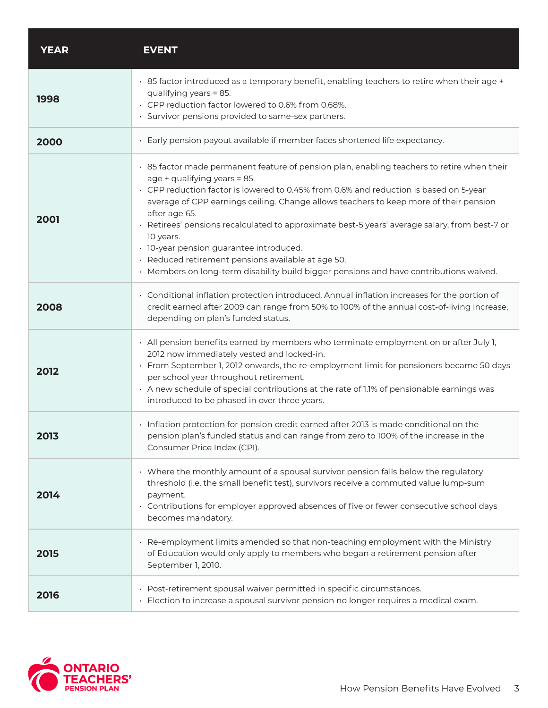| <b>YEAR</b> | <b>EVENT</b>                                                                                                                                                                                                                                                                                                                                                                                                                                                                                                                                                                                                                           |
|-------------|----------------------------------------------------------------------------------------------------------------------------------------------------------------------------------------------------------------------------------------------------------------------------------------------------------------------------------------------------------------------------------------------------------------------------------------------------------------------------------------------------------------------------------------------------------------------------------------------------------------------------------------|
| 1998        | · 85 factor introduced as a temporary benefit, enabling teachers to retire when their age +<br>qualifying years = 85.<br>· CPP reduction factor lowered to 0.6% from 0.68%.<br>· Survivor pensions provided to same-sex partners.                                                                                                                                                                                                                                                                                                                                                                                                      |
| 2000        | · Early pension payout available if member faces shortened life expectancy.                                                                                                                                                                                                                                                                                                                                                                                                                                                                                                                                                            |
| 2001        | · 85 factor made permanent feature of pension plan, enabling teachers to retire when their<br>age + qualifying years = 85.<br>· CPP reduction factor is lowered to 0.45% from 0.6% and reduction is based on 5-year<br>average of CPP earnings ceiling. Change allows teachers to keep more of their pension<br>after age 65.<br>· Retirees' pensions recalculated to approximate best-5 years' average salary, from best-7 or<br>10 years.<br>· 10-year pension guarantee introduced.<br>· Reduced retirement pensions available at age 50.<br>· Members on long-term disability build bigger pensions and have contributions waived. |
| 2008        | · Conditional inflation protection introduced. Annual inflation increases for the portion of<br>credit earned after 2009 can range from 50% to 100% of the annual cost-of-living increase,<br>depending on plan's funded status.                                                                                                                                                                                                                                                                                                                                                                                                       |
| 2012        | · All pension benefits earned by members who terminate employment on or after July 1,<br>2012 now immediately vested and locked-in.<br>· From September 1, 2012 onwards, the re-employment limit for pensioners became 50 days<br>per school year throughout retirement.<br>. A new schedule of special contributions at the rate of 1.1% of pensionable earnings was<br>introduced to be phased in over three years.                                                                                                                                                                                                                  |
| 2013        | · Inflation protection for pension credit earned after 2013 is made conditional on the<br>pension plan's funded status and can range from zero to 100% of the increase in the<br>Consumer Price Index (CPI).                                                                                                                                                                                                                                                                                                                                                                                                                           |
| 2014        | • Where the monthly amount of a spousal survivor pension falls below the regulatory<br>threshold (i.e. the small benefit test), survivors receive a commuted value lump-sum<br>payment.<br>· Contributions for employer approved absences of five or fewer consecutive school days<br>becomes mandatory.                                                                                                                                                                                                                                                                                                                               |
| 2015        | · Re-employment limits amended so that non-teaching employment with the Ministry<br>of Education would only apply to members who began a retirement pension after<br>September 1, 2010.                                                                                                                                                                                                                                                                                                                                                                                                                                                |
| 2016        | · Post-retirement spousal waiver permitted in specific circumstances.<br>· Election to increase a spousal survivor pension no longer requires a medical exam.                                                                                                                                                                                                                                                                                                                                                                                                                                                                          |